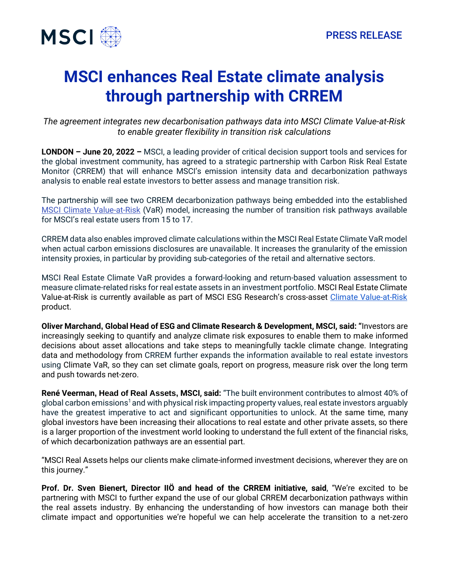

# **MSCI enhances Real Estate climate analysis through partnership with CRREM**

*The agreement integrates new decarbonisation pathways data into MSCI Climate Value-at-Risk to enable greater flexibility in transition risk calculations*

**LONDON – June 20, 2022 –** MSCI, a leading provider of critical decision support tools and services for the global investment community, has agreed to a strategic partnership with Carbon Risk Real Estate Monitor (CRREM) that will enhance MSCI's emission intensity data and decarbonization pathways analysis to enable real estate investors to better assess and manage transition risk.

The partnership will see two CRREM decarbonization pathways being embedded into the established [MSCI Climate Value-at-Risk](https://www.msci.com/documents/1296102/19288350/ClimateVaR_RealEstate_Methodology.pdf) (VaR) model, increasing the number of transition risk pathways available for MSCI's real estate users from 15 to 17.

CRREM data also enables improved climate calculations within the MSCI Real Estate Climate VaR model when actual carbon emissions disclosures are unavailable. It increases the granularity of the emission intensity proxies, in particular by providing sub-categories of the retail and alternative sectors.

MSCI Real Estate Climate VaR provides a forward-looking and return-based valuation assessment to measure climate-related risks for real estate assets in an investment portfolio. MSCI Real Estate Climate Value-at-Risk is currently available as part of MSCI ESG Research's cross-asset [Climate Value-at-Risk](https://www.msci.com/our-solutions/climate-investing/climate-and-net-zero-solutions/scenario-analysis) product.

**Oliver Marchand, Global Head of ESG and Climate Research & Development, MSCI, said: "**Investors are increasingly seeking to quantify and analyze climate risk exposures to enable them to make informed decisions about asset allocations and take steps to meaningfully tackle climate change. Integrating data and methodology from CRREM further expands the information available to real estate investors using Climate VaR, so they can set climate goals, report on progress, measure risk over the long term and push towards net-zero.

**René Veerman, Head of Real Assets, MSCI, said:** "The built environment contributes to almost 40% of global carbon emissions<sup>1</sup> and with physical risk impacting property values, real estate investors arguably have the greatest imperative to act and significant opportunities to unlock. At the same time, many global investors have been increasing their allocations to real estate and other private assets, so there is a larger proportion of the investment world looking to understand the full extent of the financial risks, of which decarbonization pathways are an essential part.

"MSCI Real Assets helps our clients make climate-informed investment decisions, wherever they are on this journey."

**Prof. Dr. Sven Bienert, Director IIÖ and head of the CRREM initiative, said**, "We're excited to be partnering with MSCI to further expand the use of our global CRREM decarbonization pathways within the real assets industry. By enhancing the understanding of how investors can manage both their climate impact and opportunities we're hopeful we can help accelerate the transition to a net-zero